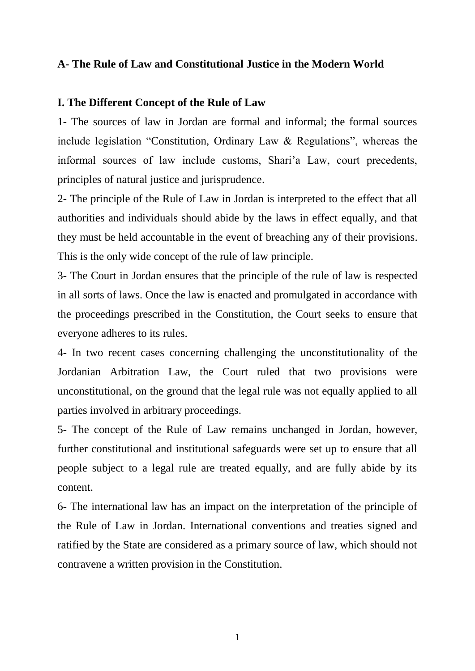# **A- The Rule of Law and Constitutional Justice in the Modern World**

## **I. The Different Concept of the Rule of Law**

1- The sources of law in Jordan are formal and informal; the formal sources include legislation "Constitution, Ordinary Law & Regulations", whereas the informal sources of law include customs, Shari'a Law, court precedents, principles of natural justice and jurisprudence.

2- The principle of the Rule of Law in Jordan is interpreted to the effect that all authorities and individuals should abide by the laws in effect equally, and that they must be held accountable in the event of breaching any of their provisions. This is the only wide concept of the rule of law principle.

3- The Court in Jordan ensures that the principle of the rule of law is respected in all sorts of laws. Once the law is enacted and promulgated in accordance with the proceedings prescribed in the Constitution, the Court seeks to ensure that everyone adheres to its rules.

4- In two recent cases concerning challenging the unconstitutionality of the Jordanian Arbitration Law, the Court ruled that two provisions were unconstitutional, on the ground that the legal rule was not equally applied to all parties involved in arbitrary proceedings.

5- The concept of the Rule of Law remains unchanged in Jordan, however, further constitutional and institutional safeguards were set up to ensure that all people subject to a legal rule are treated equally, and are fully abide by its content.

6- The international law has an impact on the interpretation of the principle of the Rule of Law in Jordan. International conventions and treaties signed and ratified by the State are considered as a primary source of law, which should not contravene a written provision in the Constitution.

1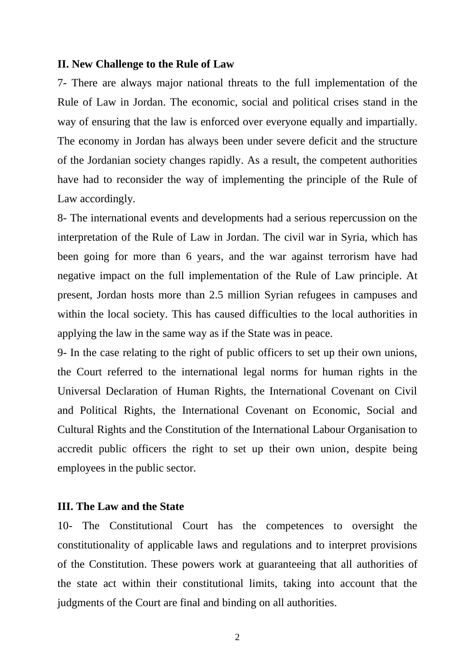#### **II. New Challenge to the Rule of Law**

7- There are always major national threats to the full implementation of the Rule of Law in Jordan. The economic, social and political crises stand in the way of ensuring that the law is enforced over everyone equally and impartially. The economy in Jordan has always been under severe deficit and the structure of the Jordanian society changes rapidly. As a result, the competent authorities have had to reconsider the way of implementing the principle of the Rule of Law accordingly.

8- The international events and developments had a serious repercussion on the interpretation of the Rule of Law in Jordan. The civil war in Syria, which has been going for more than 6 years, and the war against terrorism have had negative impact on the full implementation of the Rule of Law principle. At present, Jordan hosts more than 2.5 million Syrian refugees in campuses and within the local society. This has caused difficulties to the local authorities in applying the law in the same way as if the State was in peace.

9- In the case relating to the right of public officers to set up their own unions, the Court referred to the international legal norms for human rights in the Universal Declaration of Human Rights, the International Covenant on Civil and Political Rights, the International Covenant on Economic, Social and Cultural Rights and the Constitution of the International Labour Organisation to accredit public officers the right to set up their own union, despite being employees in the public sector.

### **III. The Law and the State**

10- The Constitutional Court has the competences to oversight the constitutionality of applicable laws and regulations and to interpret provisions of the Constitution. These powers work at guaranteeing that all authorities of the state act within their constitutional limits, taking into account that the judgments of the Court are final and binding on all authorities.

2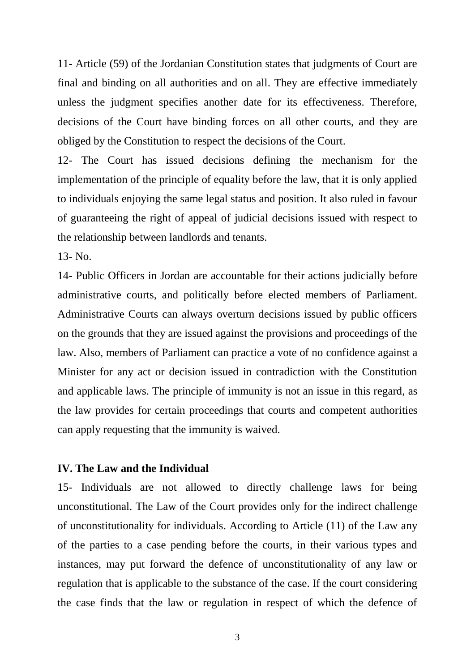11- Article (59) of the Jordanian Constitution states that judgments of Court are final and binding on all authorities and on all. They are effective immediately unless the judgment specifies another date for its effectiveness. Therefore, decisions of the Court have binding forces on all other courts, and they are obliged by the Constitution to respect the decisions of the Court.

12- The Court has issued decisions defining the mechanism for the implementation of the principle of equality before the law, that it is only applied to individuals enjoying the same legal status and position. It also ruled in favour of guaranteeing the right of appeal of judicial decisions issued with respect to the relationship between landlords and tenants.

13- No.

14- Public Officers in Jordan are accountable for their actions judicially before administrative courts, and politically before elected members of Parliament. Administrative Courts can always overturn decisions issued by public officers on the grounds that they are issued against the provisions and proceedings of the law. Also, members of Parliament can practice a vote of no confidence against a Minister for any act or decision issued in contradiction with the Constitution and applicable laws. The principle of immunity is not an issue in this regard, as the law provides for certain proceedings that courts and competent authorities can apply requesting that the immunity is waived.

### **IV. The Law and the Individual**

15- Individuals are not allowed to directly challenge laws for being unconstitutional. The Law of the Court provides only for the indirect challenge of unconstitutionality for individuals. According to Article (11) of the Law any of the parties to a case pending before the courts, in their various types and instances, may put forward the defence of unconstitutionality of any law or regulation that is applicable to the substance of the case. If the court considering the case finds that the law or regulation in respect of which the defence of